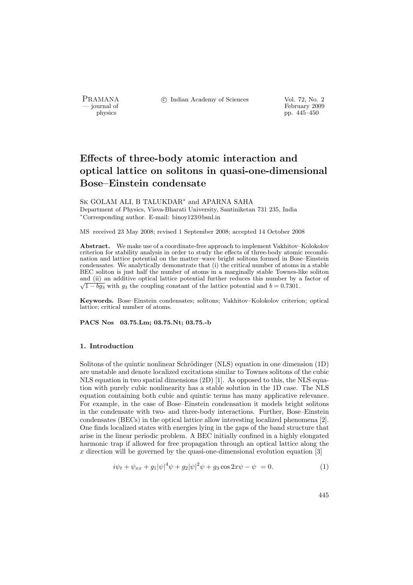PRAMANA °c Indian Academy of Sciences Vol. 72, No. 2

physics<br>
and the settlement of February 2009<br>
pp. 445–450<br>
pp. 445–450 pp. 445–450

# Effects of three-body atomic interaction and optical lattice on solitons in quasi-one-dimensional Bose–Einstein condensate

Sk GOLAM ALI, B TALUKDAR<sup>∗</sup> and APARNA SAHA Department of Physics, Visva-Bharati University, Santiniketan 731 235, India <sup>∗</sup>Corresponding author. E-mail: binoy123@bsnl.in

MS received 23 May 2008; revised 1 September 2008; accepted 14 October 2008

Abstract. We make use of a coordinate-free approach to implement Vakhitov–Kolokolov criterion for stability analysis in order to study the effects of three-body atomic recombination and lattice potential on the matter–wave bright solitons formed in Bose–Einstein condensates. We analytically demonstrate that (i) the critical number of atoms in a stable BEC soliton is just half the number of atoms in a marginally stable Townes-like soliton and (ii) an additive optical lattice potential further reduces this number by a factor of  $\sqrt{1 - bg_3}$  with  $g_3$  the coupling constant of the lattice potential and  $b = 0.7301$ .

Keywords. Bose–Einstein condensates; solitons; Vakhitov–Kolokolov criterion; optical lattice; critical number of atoms.

PACS Nos 03.75.Lm; 03.75.Nt; 03.75.-b

## 1. Introduction

Solitons of the quintic nonlinear Schrödinger (NLS) equation in one dimension (1D) are unstable and denote localized excitations similar to Townes solitons of the cubic NLS equation in two spatial dimensions  $(2D)$  [1]. As opposed to this, the NLS equation with purely cubic nonlinearity has a stable solution in the 1D case. The NLS equation containing both cubic and quintic terms has many applicative relevance. For example, in the case of Bose–Einstein condensation it models bright solitons in the condensate with two- and three-body interactions. Further, Bose–Einstein condensates (BECs) in the optical lattice allow interesting localized phenomena [2]. One finds localized states with energies lying in the gaps of the band structure that arise in the linear periodic problem. A BEC initially confined in a highly elongated harmonic trap if allowed for free propagation through an optical lattice along the  $x$  direction will be governed by the quasi-one-dimensional evolution equation  $[3]$ 

$$
i\psi_t + \psi_{xx} + g_1|\psi|^4\psi + g_2|\psi|^2\psi + g_3\cos 2x\psi - \psi = 0.
$$
 (1)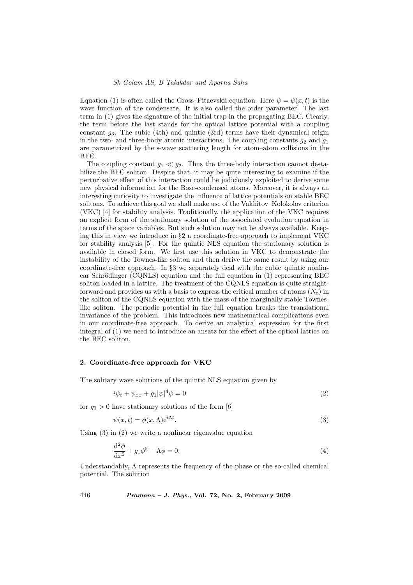Equation (1) is often called the Gross–Pitaevskii equation. Here  $\psi = \psi(x, t)$  is the wave function of the condensate. It is also called the order parameter. The last term in (1) gives the signature of the initial trap in the propagating BEC. Clearly, the term before the last stands for the optical lattice potential with a coupling constant  $g_3$ . The cubic (4th) and quintic (3rd) terms have their dynamical origin in the two- and three-body atomic interactions. The coupling constants  $g_2$  and  $g_1$ are parametrized by the s-wave scattering length for atom–atom collisions in the BEC.

The coupling constant  $g_1 \ll g_2$ . Thus the three-body interaction cannot destabilize the BEC soliton. Despite that, it may be quite interesting to examine if the perturbative effect of this interaction could be judiciously exploited to derive some new physical information for the Bose-condensed atoms. Moreover, it is always an interesting curiosity to investigate the influence of lattice potentials on stable BEC solitons. To achieve this goal we shall make use of the Vakhitov–Kolokolov criterion (VKC) [4] for stability analysis. Traditionally, the application of the VKC requires an explicit form of the stationary solution of the associated evolution equation in terms of the space variables. But such solution may not be always available. Keeping this in view we introduce in  $\S 2$  a coordinate-free approach to implement VKC for stability analysis [5]. For the quintic NLS equation the stationary solution is available in closed form. We first use this solution in VKC to demonstrate the instability of the Townes-like soliton and then derive the same result by using our coordinate-free approach. In §3 we separately deal with the cubic–quintic nonlinear Schrödinger (CQNLS) equation and the full equation in  $(1)$  representing BEC soliton loaded in a lattice. The treatment of the CQNLS equation is quite straightforward and provides us with a basis to express the critical number of atoms  $(N_c)$  in the soliton of the CQNLS equation with the mass of the marginally stable Towneslike soliton. The periodic potential in the full equation breaks the translational invariance of the problem. This introduces new mathematical complications even in our coordinate-free approach. To derive an analytical expression for the first integral of (1) we need to introduce an ansatz for the effect of the optical lattice on the BEC soliton.

## 2. Coordinate-free approach for VKC

The solitary wave solutions of the quintic NLS equation given by

$$
i\psi_t + \psi_{xx} + g_1|\psi|^4\psi = 0\tag{2}
$$

for  $g_1 > 0$  have stationary solutions of the form [6]

$$
\psi(x,t) = \phi(x,\Lambda)e^{i\Lambda t}.\tag{3}
$$

Using  $(3)$  in  $(2)$  we write a nonlinear eigenvalue equation

$$
\frac{\mathrm{d}^2 \phi}{\mathrm{d}x^2} + g_1 \phi^5 - \Lambda \phi = 0. \tag{4}
$$

Understandably,  $\Lambda$  represents the frequency of the phase or the so-called chemical potential. The solution

446 Pramana – J. Phys., Vol. 72, No. 2, February 2009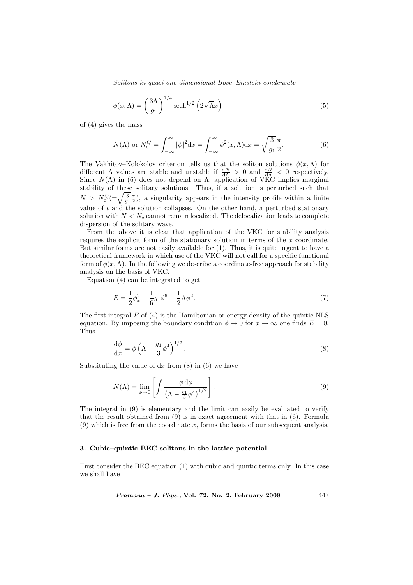Solitons in quasi-one-dimensional Bose–Einstein condensate

$$
\phi(x,\Lambda) = \left(\frac{3\Lambda}{g_1}\right)^{1/4} \operatorname{sech}^{1/2}\left(2\sqrt{\Lambda}x\right)
$$
\n(5)

of (4) gives the mass

$$
N(\Lambda) \text{ or } N_c^Q = \int_{-\infty}^{\infty} |\psi|^2 \mathrm{d}x = \int_{-\infty}^{\infty} \phi^2(x, \Lambda) \mathrm{d}x = \sqrt{\frac{3}{g_1}} \frac{\pi}{2}.
$$
 (6)

The Vakhitov–Kolokolov criterion tells us that the soliton solutions  $\phi(x,\Lambda)$  for different  $\Lambda$  values are stable and unstable if  $\frac{dN}{d\Lambda} > 0$  and  $\frac{dN}{d\Lambda} < 0$  respectively. Since  $N(\Lambda)$  in (6) does not depend on  $\Lambda$ , application of VKC implies marginal stability of these solitary solutions. Thus, if a solution is perturbed such that stability of these solitary solutions. Thus, if a solution is perturbed such that  $N > N_c^Q = \sqrt{\frac{3}{g_1} \frac{\pi}{2}}$ , a singularity appears in the intensity profile within a finite value of  $t$  and the solution collapses. On the other hand, a perturbed stationary solution with  $N < N_c$  cannot remain localized. The delocalization leads to complete dispersion of the solitary wave.

From the above it is clear that application of the VKC for stability analysis requires the explicit form of the stationary solution in terms of the x coordinate. But similar forms are not easily available for (1). Thus, it is quite urgent to have a theoretical framework in which use of the VKC will not call for a specific functional form of  $\phi(x,\Lambda)$ . In the following we describe a coordinate-free approach for stability analysis on the basis of VKC.

Equation (4) can be integrated to get

$$
E = \frac{1}{2}\phi_x^2 + \frac{1}{6}g_1\phi^6 - \frac{1}{2}\Lambda\phi^2.
$$
 (7)

The first integral  $E$  of (4) is the Hamiltonian or energy density of the quintic NLS equation. By imposing the boundary condition  $\phi \to 0$  for  $x \to \infty$  one finds  $E = 0$ . Thus

$$
\frac{\mathrm{d}\phi}{\mathrm{d}x} = \phi \left( \Lambda - \frac{g_1}{3} \phi^4 \right)^{1/2} . \tag{8}
$$

Substituting the value of  $dx$  from  $(8)$  in  $(6)$  we have

$$
N(\Lambda) = \lim_{\phi \to 0} \left[ \int \frac{\phi \, d\phi}{\left(\Lambda - \frac{g_1}{3} \phi^4\right)^{1/2}} \right].
$$
 (9)

The integral in (9) is elementary and the limit can easily be evaluated to verify that the result obtained from (9) is in exact agreement with that in (6). Formula  $(9)$  which is free from the coordinate x, forms the basis of our subsequent analysis.

### 3. Cubic–quintic BEC solitons in the lattice potential

First consider the BEC equation (1) with cubic and quintic terms only. In this case we shall have

Pramana – J. Phys., Vol. 72, No. 2, February 2009 447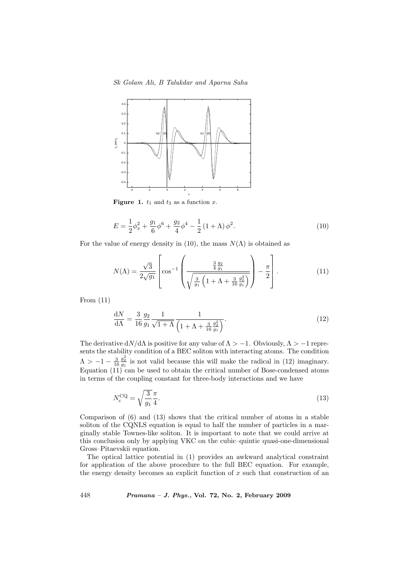Sk Golam Ali, B Talukdar and Aparna Saha



Figure 1.  $t_1$  and  $t_2$  as a function x.

$$
E = \frac{1}{2}\phi_x^2 + \frac{g_1}{6}\phi^6 + \frac{g_2}{4}\phi^4 - \frac{1}{2}(1+\Lambda)\phi^2.
$$
 (10)

For the value of energy density in (10), the mass  $N(\Lambda)$  is obtained as

$$
N(\Lambda) = \frac{\sqrt{3}}{2\sqrt{g_1}} \left[ \cos^{-1} \left( \frac{\frac{3}{4} \frac{g_2}{g_1}}{\sqrt{\frac{3}{g_1} \left(1 + \Lambda + \frac{3}{16} \frac{g_2^2}{g_1}\right)}} \right) - \frac{\pi}{2} \right].
$$
 (11)

From (11)

$$
\frac{dN}{d\Lambda} = \frac{3}{16} \frac{g_2}{g_1} \frac{1}{\sqrt{1+\Lambda}} \frac{1}{\left(1+\Lambda + \frac{3}{16} \frac{g_2^2}{g_1}\right)}.
$$
(12)

The derivative  $dN/d\Lambda$  is positive for any value of  $\Lambda > -1$ . Obviously,  $\Lambda > -1$  represents the stability condition of a BEC soliton with interacting atoms. The condition  $\Lambda > -1 - \frac{3}{16}$  $\frac{g_2^2}{g_1}$  is not valid because this will make the radical in (12) imaginary. Equation (11) can be used to obtain the critical number of Bose-condensed atoms in terms of the coupling constant for three-body interactions and we have

$$
N_c^{\text{CQ}} = \sqrt{\frac{3}{g_1}} \frac{\pi}{4}.
$$
\n(13)

Comparison of (6) and (13) shows that the critical number of atoms in a stable soliton of the CQNLS equation is equal to half the number of particles in a marginally stable Townes-like soliton. It is important to note that we could arrive at this conclusion only by applying VKC on the cubic–quintic quasi-one-dimensional Gross–Pitaevskii equation.

The optical lattice potential in (1) provides an awkward analytical constraint for application of the above procedure to the full BEC equation. For example, the energy density becomes an explicit function of  $x$  such that construction of an

448 Pramana – J. Phys., Vol. 72, No. 2, February 2009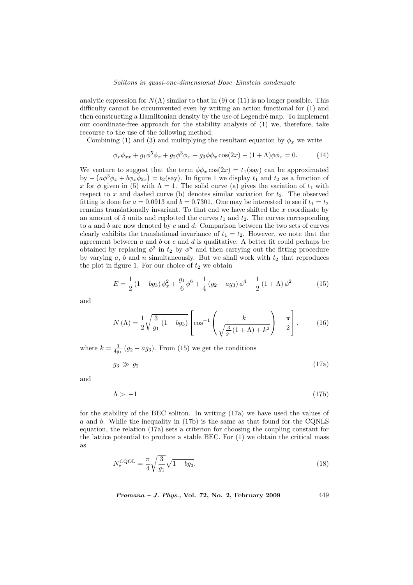analytic expression for  $N(\Lambda)$  similar to that in (9) or (11) is no longer possible. This difficulty cannot be circumvented even by writing an action functional for (1) and then constructing a Hamiltonian density by the use of Legendré map. To implement our coordinate-free approach for the stability analysis of (1) we, therefore, take recourse to the use of the following method:

Combining (1) and (3) and multiplying the resultant equation by  $\phi_x$  we write

$$
\phi_x \phi_{xx} + g_1 \phi^5 \phi_x + g_2 \phi^3 \phi_x + g_3 \phi \phi_x \cos(2x) - (1 + \Lambda) \phi \phi_x = 0.
$$
 (14)

We venture to suggest that the term  $\phi \phi_x \cos(2x) = t_1(\text{say})$  can be approximated by  $-(a\phi^3\phi_x+b\phi_x\phi_{2x})=t_2(\text{say})$ . In figure 1 we display  $t_1$  and  $t_2$  as a function of x for  $\phi$  given in (5) with  $\Lambda = 1$ . The solid curve (a) gives the variation of  $t_1$  with respect to x and dashed curve (b) denotes similar variation for  $t_2$ . The observed fitting is done for  $a = 0.0913$  and  $b = 0.7301$ . One may be interested to see if  $t_1 = t_2$ remains translationally invariant. To that end we have shifted the  $x$  coordinate by an amount of 5 units and replotted the curves  $t_1$  and  $t_2$ . The curves corresponding to  $a$  and  $b$  are now denoted by  $c$  and  $d$ . Comparison between the two sets of curves clearly exhibits the translational invariance of  $t_1 = t_2$ . However, we note that the agreement between  $a$  and  $b$  or  $c$  and  $d$  is qualitative. A better fit could perhaps be obtained by replacing  $\phi^3$  in  $t_2$  by  $\phi^n$  and then carrying out the fitting procedure by varying  $a, b$  and  $n$  simultaneously. But we shall work with  $t_2$  that reproduces the plot in figure 1. For our choice of  $t_2$  we obtain

$$
E = \frac{1}{2} (1 - bg_3) \phi_x^2 + \frac{g_1}{6} \phi^6 + \frac{1}{4} (g_2 - ag_3) \phi^4 - \frac{1}{2} (1 + \Lambda) \phi^2
$$
 (15)

and

$$
N(\Lambda) = \frac{1}{2} \sqrt{\frac{3}{g_1} (1 - bg_3)} \left[ \cos^{-1} \left( \frac{k}{\sqrt{\frac{3}{g_1} (1 + \Lambda) + k^2}} \right) - \frac{\pi}{2} \right],
$$
 (16)

where  $k = \frac{3}{4g_1}(g_2 - ag_3)$ . From (15) we get the conditions

$$
g_3 \gg g_2 \tag{17a}
$$

and

$$
\Lambda > -1 \tag{17b}
$$

for the stability of the BEC soliton. In writing (17a) we have used the values of a and b. While the inequality in (17b) is the same as that found for the CQNLS equation, the relation (17a) sets a criterion for choosing the coupling constant for the lattice potential to produce a stable BEC. For (1) we obtain the critical mass as

$$
N_{\rm c}^{\rm CQOL} = \frac{\pi}{4} \sqrt{\frac{3}{g_1}} \sqrt{1 - bg_3}.
$$
 (18)

*Pramana – J. Phys.*, Vol. 72, No. 2, February 2009  $449$